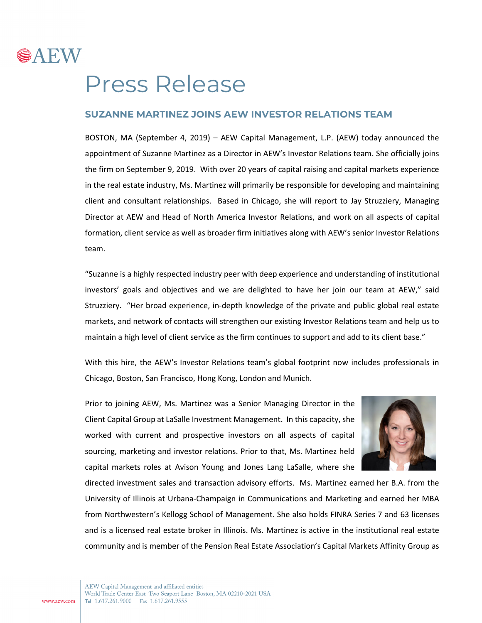

## Press Release

## **SUZANNE MARTINEZ JOINS AEW INVESTOR RELATIONS TEAM**

BOSTON, MA (September 4, 2019) – AEW Capital Management, L.P. (AEW) today announced the appointment of Suzanne Martinez as a Director in AEW's Investor Relations team. She officially joins the firm on September 9, 2019. With over 20 years of capital raising and capital markets experience in the real estate industry, Ms. Martinez will primarily be responsible for developing and maintaining client and consultant relationships. Based in Chicago, she will report to Jay Struzziery, Managing Director at AEW and Head of North America Investor Relations, and work on all aspects of capital formation, client service as well as broader firm initiatives along with AEW's senior Investor Relations team.

"Suzanne is a highly respected industry peer with deep experience and understanding of institutional investors' goals and objectives and we are delighted to have her join our team at AEW," said Struzziery. "Her broad experience, in-depth knowledge of the private and public global real estate markets, and network of contacts will strengthen our existing Investor Relations team and help us to maintain a high level of client service as the firm continues to support and add to its client base."

With this hire, the AEW's Investor Relations team's global footprint now includes professionals in Chicago, Boston, San Francisco, Hong Kong, London and Munich.

Prior to joining AEW, Ms. Martinez was a Senior Managing Director in the Client Capital Group at LaSalle Investment Management. In this capacity, she worked with current and prospective investors on all aspects of capital sourcing, marketing and investor relations. Prior to that, Ms. Martinez held capital markets roles at Avison Young and Jones Lang LaSalle, where she



directed investment sales and transaction advisory efforts. Ms. Martinez earned her B.A. from the University of Illinois at Urbana-Champaign in Communications and Marketing and earned her MBA from Northwestern's Kellogg School of Management. She also holds FINRA Series 7 and 63 licenses and is a licensed real estate broker in Illinois. Ms. Martinez is active in the institutional real estate community and is member of the Pension Real Estate Association's Capital Markets Affinity Group as